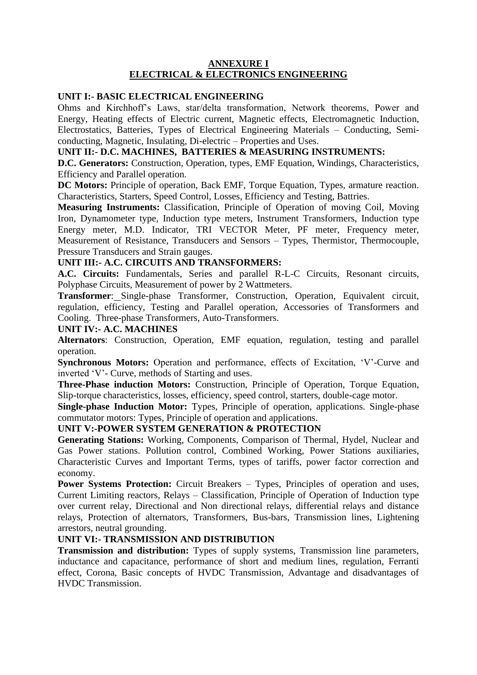#### **ANNEXURE I ELECTRICAL & ELECTRONICS ENGINEERING**

#### **UNIT I:- BASIC ELECTRICAL ENGINEERING**

Ohms and Kirchhoff's Laws, star/delta transformation, Network theorems, Power and Energy, Heating effects of Electric current, Magnetic effects, Electromagnetic Induction, Electrostatics, Batteries, Types of Electrical Engineering Materials – Conducting, Semiconducting, Magnetic, Insulating, Di-electric – Properties and Uses.

#### **UNIT II:- D.C. MACHINES, BATTERIES & MEASURING INSTRUMENTS:**

**D.C. Generators:** Construction, Operation, types, EMF Equation, Windings, Characteristics, Efficiency and Parallel operation.

**DC Motors:** Principle of operation, Back EMF, Torque Equation, Types, armature reaction. Characteristics, Starters, Speed Control, Losses, Efficiency and Testing, Battries.

**Measuring Instruments:** Classification, Principle of Operation of moving Coil, Moving Iron, Dynamometer type, Induction type meters, Instrument Transformers, Induction type Energy meter, M.D. Indicator, TRI VECTOR Meter, PF meter, Frequency meter, Measurement of Resistance, Transducers and Sensors – Types, Thermistor, Thermocouple, Pressure Transducers and Strain gauges.

#### **UNIT III:- A.C. CIRCUITS AND TRANSFORMERS:**

**A.C. Circuits:** Fundamentals, Series and parallel R-L-C Circuits, Resonant circuits, Polyphase Circuits, Measurement of power by 2 Wattmeters.

**Transformer**: Single-phase Transformer, Construction, Operation, Equivalent circuit, regulation, efficiency, Testing and Parallel operation, Accessories of Transformers and Cooling. Three-phase Transformers, Auto-Transformers.

#### **UNIT IV:- A.C. MACHINES**

**Alternators**: Construction, Operation, EMF equation, regulation, testing and parallel operation.

**Synchronous Motors:** Operation and performance, effects of Excitation, 'V'-Curve and inverted 'V'- Curve, methods of Starting and uses.

**Three-Phase induction Motors:** Construction, Principle of Operation, Torque Equation, Slip-torque characteristics, losses, efficiency, speed control, starters, double-cage motor.

**Single-phase Induction Motor:** Types, Principle of operation, applications. Single-phase commutator motors: Types, Principle of operation and applications.

#### **UNIT V:-POWER SYSTEM GENERATION & PROTECTION**

**Generating Stations:** Working, Components, Comparison of Thermal, Hydel, Nuclear and Gas Power stations. Pollution control, Combined Working, Power Stations auxiliaries, Characteristic Curves and Important Terms, types of tariffs, power factor correction and economy.

**Power Systems Protection:** Circuit Breakers – Types, Principles of operation and uses, Current Limiting reactors, Relays – Classification, Principle of Operation of Induction type over current relay, Directional and Non directional relays, differential relays and distance relays, Protection of alternators, Transformers, Bus-bars, Transmission lines, Lightening arrestors, neutral grounding.

# **UNIT VI:- TRANSMISSION AND DISTRIBUTION**

**Transmission and distribution:** Types of supply systems, Transmission line parameters, inductance and capacitance, performance of short and medium lines, regulation, Ferranti effect, Corona, Basic concepts of HVDC Transmission, Advantage and disadvantages of HVDC Transmission.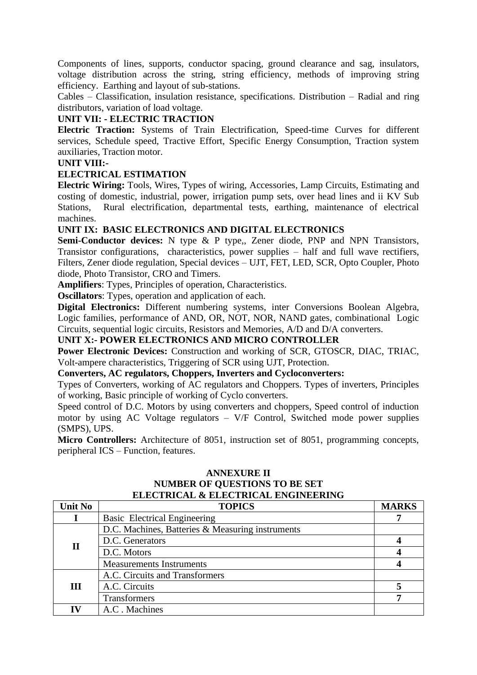Components of lines, supports, conductor spacing, ground clearance and sag, insulators, voltage distribution across the string, string efficiency, methods of improving string efficiency. Earthing and layout of sub-stations.

Cables – Classification, insulation resistance, specifications. Distribution – Radial and ring distributors, variation of load voltage.

## **UNIT VII: - ELECTRIC TRACTION**

**Electric Traction:** Systems of Train Electrification, Speed-time Curves for different services, Schedule speed, Tractive Effort, Specific Energy Consumption, Traction system auxiliaries, Traction motor.

## **UNIT VIII:-**

## **ELECTRICAL ESTIMATION**

**Electric Wiring:** Tools, Wires, Types of wiring, Accessories, Lamp Circuits, Estimating and costing of domestic, industrial, power, irrigation pump sets, over head lines and ii KV Sub Stations, Rural electrification, departmental tests, earthing, maintenance of electrical machines.

## **UNIT IX: BASIC ELECTRONICS AND DIGITAL ELECTRONICS**

**Semi-Conductor devices:** N type & P type,, Zener diode, PNP and NPN Transistors, Transistor configurations, characteristics, power supplies – half and full wave rectifiers, Filters, Zener diode regulation, Special devices – UJT, FET, LED, SCR, Opto Coupler, Photo diode, Photo Transistor, CRO and Timers.

**Amplifiers**: Types, Principles of operation, Characteristics.

**Oscillators**: Types, operation and application of each.

**Digital Electronics:** Different numbering systems, inter Conversions Boolean Algebra, Logic families, performance of AND, OR, NOT, NOR, NAND gates, combinational Logic Circuits, sequential logic circuits, Resistors and Memories, A/D and D/A converters.

## **UNIT X:- POWER ELECTRONICS AND MICRO CONTROLLER**

**Power Electronic Devices:** Construction and working of SCR, GTOSCR, DIAC, TRIAC, Volt-ampere characteristics, Triggering of SCR using UJT, Protection.

#### **Converters, AC regulators, Choppers, Inverters and Cycloconverters:**

Types of Converters, working of AC regulators and Choppers. Types of inverters, Principles of working, Basic principle of working of Cyclo converters.

Speed control of D.C. Motors by using converters and choppers, Speed control of induction motor by using AC Voltage regulators – V/F Control, Switched mode power supplies (SMPS), UPS.

**Micro Controllers:** Architecture of 8051, instruction set of 8051, programming concepts, peripheral ICS – Function, features.

## **ANNEXURE II NUMBER OF QUESTIONS TO BE SET ELECTRICAL & ELECTRICAL ENGINEERING**

| <b>Unit No</b> | <b>TOPICS</b>                                    | <b>MARKS</b> |
|----------------|--------------------------------------------------|--------------|
|                | <b>Basic Electrical Engineering</b>              |              |
| $\mathbf{I}$   | D.C. Machines, Batteries & Measuring instruments |              |
|                | D.C. Generators                                  |              |
|                | D.C. Motors                                      |              |
|                | <b>Measurements Instruments</b>                  |              |
| Ш              | A.C. Circuits and Transformers                   |              |
|                | A.C. Circuits                                    |              |
|                | <b>Transformers</b>                              |              |
| TV             | A.C. Machines                                    |              |